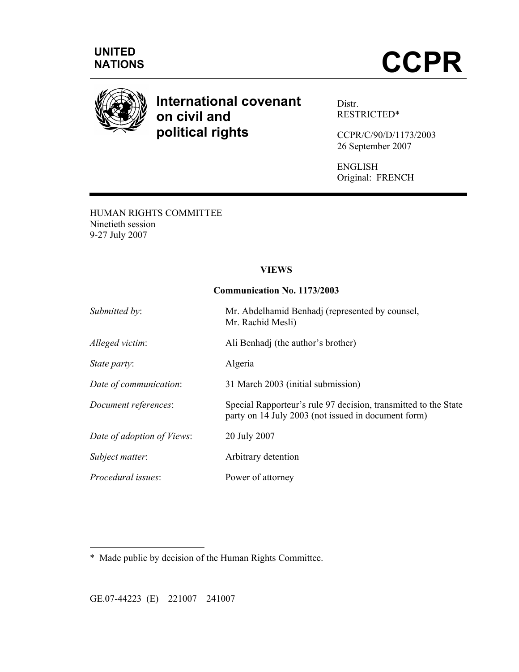



# **International covenant on civil and political rights**

Distr. RESTRICTED\*

CCPR/C/90/D/1173/2003 26 September 2007

ENGLISH Original: FRENCH

HUMAN RIGHTS COMMITTEE Ninetieth session 9-27 July 2007

#### **VIEWS**

#### **Communication No. 1173/2003**

| Submitted by:              | Mr. Abdelhamid Benhadj (represented by counsel,<br>Mr. Rachid Mesli)                                                   |
|----------------------------|------------------------------------------------------------------------------------------------------------------------|
| Alleged victim:            | Ali Benhadj (the author's brother)                                                                                     |
| State party:               | Algeria                                                                                                                |
| Date of communication:     | 31 March 2003 (initial submission)                                                                                     |
| Document references:       | Special Rapporteur's rule 97 decision, transmitted to the State<br>party on 14 July 2003 (not issued in document form) |
| Date of adoption of Views: | 20 July 2007                                                                                                           |
| Subject matter:            | Arbitrary detention                                                                                                    |
| Procedural issues:         | Power of attorney                                                                                                      |

\* Made public by decision of the Human Rights Committee.

GE.07-44223 (E) 221007 241007

 $\overline{a}$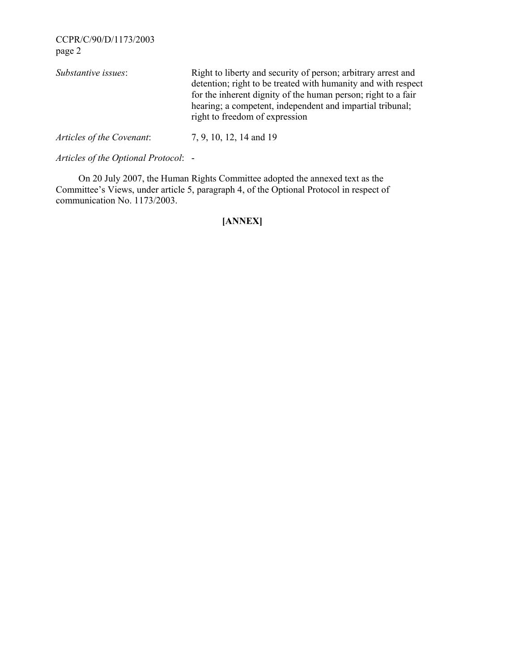| Substantive issues:       | Right to liberty and security of person; arbitrary arrest and<br>detention; right to be treated with humanity and with respect<br>for the inherent dignity of the human person; right to a fair<br>hearing; a competent, independent and impartial tribunal;<br>right to freedom of expression |
|---------------------------|------------------------------------------------------------------------------------------------------------------------------------------------------------------------------------------------------------------------------------------------------------------------------------------------|
| Articles of the Covenant: | 7, 9, 10, 12, 14 and 19                                                                                                                                                                                                                                                                        |

*Articles of the Optional Protocol*: -

 On 20 July 2007, the Human Rights Committee adopted the annexed text as the Committee's Views, under article 5, paragraph 4, of the Optional Protocol in respect of communication No. 1173/2003.

# **[ANNEX]**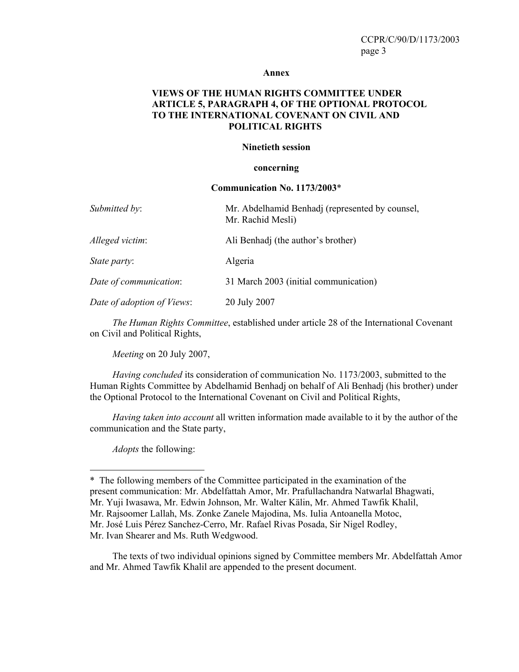#### **Annex**

## **VIEWS OF THE HUMAN RIGHTS COMMITTEE UNDER ARTICLE 5, PARAGRAPH 4, OF THE OPTIONAL PROTOCOL TO THE INTERNATIONAL COVENANT ON CIVIL AND POLITICAL RIGHTS**

#### **Ninetieth session**

#### **concerning**

#### **Communication No. 1173/2003**\*

| Submitted by:              | Mr. Abdelhamid Benhadj (represented by counsel,<br>Mr. Rachid Mesli) |
|----------------------------|----------------------------------------------------------------------|
| Alleged victim:            | Ali Benhadj (the author's brother)                                   |
| State party:               | Algeria                                                              |
| Date of communication:     | 31 March 2003 (initial communication)                                |
| Date of adoption of Views: | 20 July 2007                                                         |

*The Human Rights Committee*, established under article 28 of the International Covenant on Civil and Political Rights,

*Meeting* on 20 July 2007,

*Having concluded* its consideration of communication No. 1173/2003, submitted to the Human Rights Committee by Abdelhamid Benhadj on behalf of Ali Benhadj (his brother) under the Optional Protocol to the International Covenant on Civil and Political Rights,

*Having taken into account* all written information made available to it by the author of the communication and the State party,

*Adopts* the following:

 $\overline{a}$ 

 The texts of two individual opinions signed by Committee members Mr. Abdelfattah Amor and Mr. Ahmed Tawfik Khalil are appended to the present document.

<sup>\*</sup> The following members of the Committee participated in the examination of the present communication: Mr. Abdelfattah Amor, Mr. Prafullachandra Natwarlal Bhagwati, Mr. Yuji Iwasawa, Mr. Edwin Johnson, Mr. Walter Kälin, Mr. Ahmed Tawfik Khalil, Mr. Rajsoomer Lallah, Ms. Zonke Zanele Majodina, Ms. Iulia Antoanella Motoc, Mr. José Luis Pérez Sanchez-Cerro, Mr. Rafael Rivas Posada, Sir Nigel Rodley, Mr. Ivan Shearer and Ms. Ruth Wedgwood.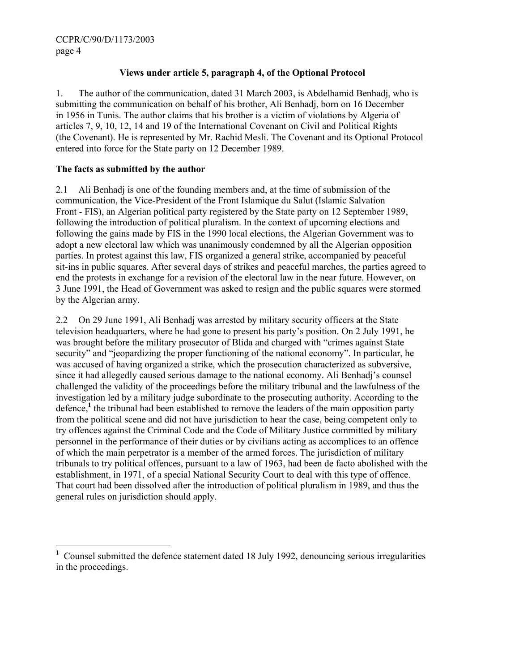# **Views under article 5, paragraph 4, of the Optional Protocol**

1. The author of the communication, dated 31 March 2003, is Abdelhamid Benhadj, who is submitting the communication on behalf of his brother, Ali Benhadj, born on 16 December in 1956 in Tunis. The author claims that his brother is a victim of violations by Algeria of articles 7, 9, 10, 12, 14 and 19 of the International Covenant on Civil and Political Rights (the Covenant). He is represented by Mr. Rachid Mesli. The Covenant and its Optional Protocol entered into force for the State party on 12 December 1989.

#### **The facts as submitted by the author**

 $\overline{a}$ 

2.1 Ali Benhadj is one of the founding members and, at the time of submission of the communication, the Vice-President of the Front Islamique du Salut (Islamic Salvation Front - FIS), an Algerian political party registered by the State party on 12 September 1989, following the introduction of political pluralism. In the context of upcoming elections and following the gains made by FIS in the 1990 local elections, the Algerian Government was to adopt a new electoral law which was unanimously condemned by all the Algerian opposition parties. In protest against this law, FIS organized a general strike, accompanied by peaceful sit-ins in public squares. After several days of strikes and peaceful marches, the parties agreed to end the protests in exchange for a revision of the electoral law in the near future. However, on 3 June 1991, the Head of Government was asked to resign and the public squares were stormed by the Algerian army.

2.2 On 29 June 1991, Ali Benhadj was arrested by military security officers at the State television headquarters, where he had gone to present his party's position. On 2 July 1991, he was brought before the military prosecutor of Blida and charged with "crimes against State security" and "jeopardizing the proper functioning of the national economy". In particular, he was accused of having organized a strike, which the prosecution characterized as subversive, since it had allegedly caused serious damage to the national economy. Ali Benhadj's counsel challenged the validity of the proceedings before the military tribunal and the lawfulness of the investigation led by a military judge subordinate to the prosecuting authority. According to the defence,<sup>1</sup> the tribunal had been established to remove the leaders of the main opposition party from the political scene and did not have jurisdiction to hear the case, being competent only to try offences against the Criminal Code and the Code of Military Justice committed by military personnel in the performance of their duties or by civilians acting as accomplices to an offence of which the main perpetrator is a member of the armed forces. The jurisdiction of military tribunals to try political offences, pursuant to a law of 1963, had been de facto abolished with the establishment, in 1971, of a special National Security Court to deal with this type of offence. That court had been dissolved after the introduction of political pluralism in 1989, and thus the general rules on jurisdiction should apply.

**<sup>1</sup>** Counsel submitted the defence statement dated 18 July 1992, denouncing serious irregularities in the proceedings.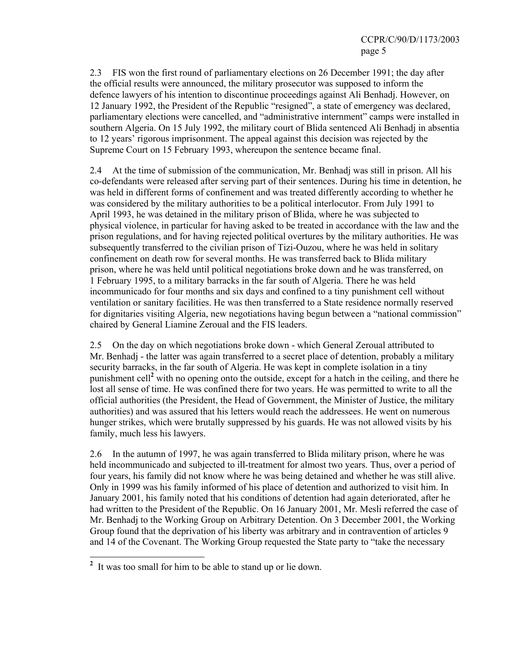2.3 FIS won the first round of parliamentary elections on 26 December 1991; the day after the official results were announced, the military prosecutor was supposed to inform the defence lawyers of his intention to discontinue proceedings against Ali Benhadj. However, on 12 January 1992, the President of the Republic "resigned", a state of emergency was declared, parliamentary elections were cancelled, and "administrative internment" camps were installed in southern Algeria. On 15 July 1992, the military court of Blida sentenced Ali Benhadj in absentia to 12 years' rigorous imprisonment. The appeal against this decision was rejected by the Supreme Court on 15 February 1993, whereupon the sentence became final.

2.4 At the time of submission of the communication, Mr. Benhadj was still in prison. All his co-defendants were released after serving part of their sentences. During his time in detention, he was held in different forms of confinement and was treated differently according to whether he was considered by the military authorities to be a political interlocutor. From July 1991 to April 1993, he was detained in the military prison of Blida, where he was subjected to physical violence, in particular for having asked to be treated in accordance with the law and the prison regulations, and for having rejected political overtures by the military authorities. He was subsequently transferred to the civilian prison of Tizi-Ouzou, where he was held in solitary confinement on death row for several months. He was transferred back to Blida military prison, where he was held until political negotiations broke down and he was transferred, on 1 February 1995, to a military barracks in the far south of Algeria. There he was held incommunicado for four months and six days and confined to a tiny punishment cell without ventilation or sanitary facilities. He was then transferred to a State residence normally reserved for dignitaries visiting Algeria, new negotiations having begun between a "national commission" chaired by General Liamine Zeroual and the FIS leaders.

2.5 On the day on which negotiations broke down - which General Zeroual attributed to Mr. Benhadj - the latter was again transferred to a secret place of detention, probably a military security barracks, in the far south of Algeria. He was kept in complete isolation in a tiny punishment cell<sup>2</sup> with no opening onto the outside, except for a hatch in the ceiling, and there he lost all sense of time. He was confined there for two years. He was permitted to write to all the official authorities (the President, the Head of Government, the Minister of Justice, the military authorities) and was assured that his letters would reach the addressees. He went on numerous hunger strikes, which were brutally suppressed by his guards. He was not allowed visits by his family, much less his lawyers.

2.6 In the autumn of 1997, he was again transferred to Blida military prison, where he was held incommunicado and subjected to ill-treatment for almost two years. Thus, over a period of four years, his family did not know where he was being detained and whether he was still alive. Only in 1999 was his family informed of his place of detention and authorized to visit him. In January 2001, his family noted that his conditions of detention had again deteriorated, after he had written to the President of the Republic. On 16 January 2001, Mr. Mesli referred the case of Mr. Benhadj to the Working Group on Arbitrary Detention. On 3 December 2001, the Working Group found that the deprivation of his liberty was arbitrary and in contravention of articles 9 and 14 of the Covenant. The Working Group requested the State party to "take the necessary

<sup>&</sup>lt;sup>2</sup> It was too small for him to be able to stand up or lie down.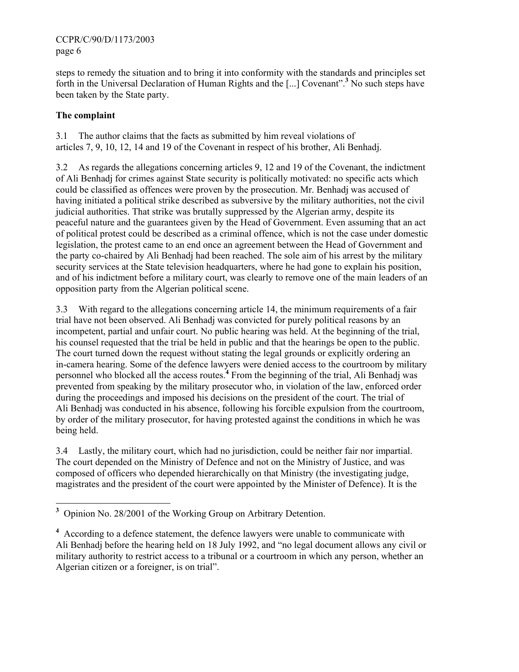steps to remedy the situation and to bring it into conformity with the standards and principles set forth in the Universal Declaration of Human Rights and the [...] Covenant".<sup>3</sup> No such steps have been taken by the State party.

# **The complaint**

3.1 The author claims that the facts as submitted by him reveal violations of articles 7, 9, 10, 12, 14 and 19 of the Covenant in respect of his brother, Ali Benhadj.

3.2 As regards the allegations concerning articles 9, 12 and 19 of the Covenant, the indictment of Ali Benhadj for crimes against State security is politically motivated: no specific acts which could be classified as offences were proven by the prosecution. Mr. Benhadj was accused of having initiated a political strike described as subversive by the military authorities, not the civil judicial authorities. That strike was brutally suppressed by the Algerian army, despite its peaceful nature and the guarantees given by the Head of Government. Even assuming that an act of political protest could be described as a criminal offence, which is not the case under domestic legislation, the protest came to an end once an agreement between the Head of Government and the party co-chaired by Ali Benhadj had been reached. The sole aim of his arrest by the military security services at the State television headquarters, where he had gone to explain his position, and of his indictment before a military court, was clearly to remove one of the main leaders of an opposition party from the Algerian political scene.

3.3 With regard to the allegations concerning article 14, the minimum requirements of a fair trial have not been observed. Ali Benhadj was convicted for purely political reasons by an incompetent, partial and unfair court. No public hearing was held. At the beginning of the trial, his counsel requested that the trial be held in public and that the hearings be open to the public. The court turned down the request without stating the legal grounds or explicitly ordering an in-camera hearing. Some of the defence lawyers were denied access to the courtroom by military personnel who blocked all the access routes.**<sup>4</sup>** From the beginning of the trial, Ali Benhadj was prevented from speaking by the military prosecutor who, in violation of the law, enforced order during the proceedings and imposed his decisions on the president of the court. The trial of Ali Benhadj was conducted in his absence, following his forcible expulsion from the courtroom, by order of the military prosecutor, for having protested against the conditions in which he was being held.

3.4 Lastly, the military court, which had no jurisdiction, could be neither fair nor impartial. The court depended on the Ministry of Defence and not on the Ministry of Justice, and was composed of officers who depended hierarchically on that Ministry (the investigating judge, magistrates and the president of the court were appointed by the Minister of Defence). It is the

<sup>&</sup>lt;sup>3</sup> Opinion No. 28/2001 of the Working Group on Arbitrary Detention.

<sup>&</sup>lt;sup>4</sup> According to a defence statement, the defence lawyers were unable to communicate with Ali Benhadj before the hearing held on 18 July 1992, and "no legal document allows any civil or military authority to restrict access to a tribunal or a courtroom in which any person, whether an Algerian citizen or a foreigner, is on trial".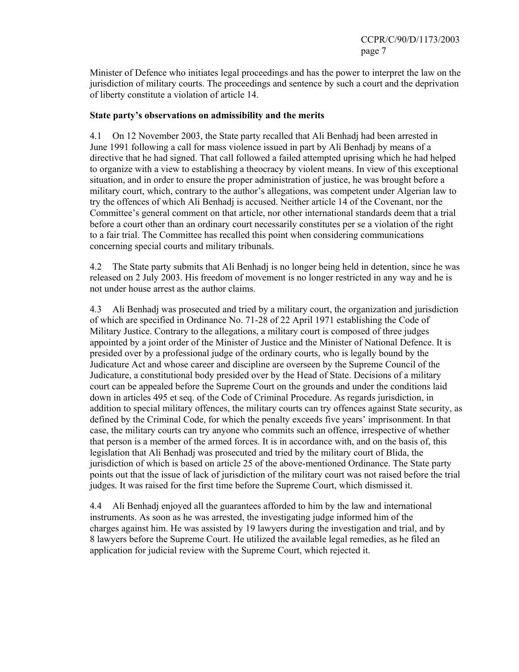Minister of Defence who initiates legal proceedings and has the power to interpret the law on the jurisdiction of military courts. The proceedings and sentence by such a court and the deprivation of liberty constitute a violation of article 14.

## **State party's observations on admissibility and the merits**

4.1 On 12 November 2003, the State party recalled that Ali Benhadj had been arrested in June 1991 following a call for mass violence issued in part by Ali Benhadj by means of a directive that he had signed. That call followed a failed attempted uprising which he had helped to organize with a view to establishing a theocracy by violent means. In view of this exceptional situation, and in order to ensure the proper administration of justice, he was brought before a military court, which, contrary to the author's allegations, was competent under Algerian law to try the offences of which Ali Benhadj is accused. Neither article 14 of the Covenant, nor the Committee's general comment on that article, nor other international standards deem that a trial before a court other than an ordinary court necessarily constitutes per se a violation of the right to a fair trial. The Committee has recalled this point when considering communications concerning special courts and military tribunals.

4.2 The State party submits that Ali Benhadj is no longer being held in detention, since he was released on 2 July 2003. His freedom of movement is no longer restricted in any way and he is not under house arrest as the author claims.

4.3 Ali Benhadj was prosecuted and tried by a military court, the organization and jurisdiction of which are specified in Ordinance No. 71-28 of 22 April 1971 establishing the Code of Military Justice. Contrary to the allegations, a military court is composed of three judges appointed by a joint order of the Minister of Justice and the Minister of National Defence. It is presided over by a professional judge of the ordinary courts, who is legally bound by the Judicature Act and whose career and discipline are overseen by the Supreme Council of the Judicature, a constitutional body presided over by the Head of State. Decisions of a military court can be appealed before the Supreme Court on the grounds and under the conditions laid down in articles 495 et seq. of the Code of Criminal Procedure. As regards jurisdiction, in addition to special military offences, the military courts can try offences against State security, as defined by the Criminal Code, for which the penalty exceeds five years' imprisonment. In that case, the military courts can try anyone who commits such an offence, irrespective of whether that person is a member of the armed forces. It is in accordance with, and on the basis of, this legislation that Ali Benhadj was prosecuted and tried by the military court of Blida, the jurisdiction of which is based on article 25 of the above-mentioned Ordinance. The State party points out that the issue of lack of jurisdiction of the military court was not raised before the trial judges. It was raised for the first time before the Supreme Court, which dismissed it.

4.4 Ali Benhadj enjoyed all the guarantees afforded to him by the law and international instruments. As soon as he was arrested, the investigating judge informed him of the charges against him. He was assisted by 19 lawyers during the investigation and trial, and by 8 lawyers before the Supreme Court. He utilized the available legal remedies, as he filed an application for judicial review with the Supreme Court, which rejected it.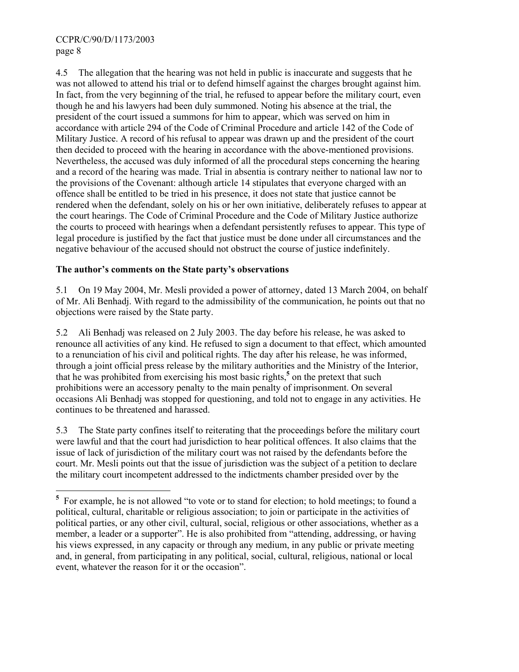4.5 The allegation that the hearing was not held in public is inaccurate and suggests that he was not allowed to attend his trial or to defend himself against the charges brought against him. In fact, from the very beginning of the trial, he refused to appear before the military court, even though he and his lawyers had been duly summoned. Noting his absence at the trial, the president of the court issued a summons for him to appear, which was served on him in accordance with article 294 of the Code of Criminal Procedure and article 142 of the Code of Military Justice. A record of his refusal to appear was drawn up and the president of the court then decided to proceed with the hearing in accordance with the above-mentioned provisions. Nevertheless, the accused was duly informed of all the procedural steps concerning the hearing and a record of the hearing was made. Trial in absentia is contrary neither to national law nor to the provisions of the Covenant: although article 14 stipulates that everyone charged with an offence shall be entitled to be tried in his presence, it does not state that justice cannot be rendered when the defendant, solely on his or her own initiative, deliberately refuses to appear at the court hearings. The Code of Criminal Procedure and the Code of Military Justice authorize the courts to proceed with hearings when a defendant persistently refuses to appear. This type of legal procedure is justified by the fact that justice must be done under all circumstances and the negative behaviour of the accused should not obstruct the course of justice indefinitely.

# **The author's comments on the State party's observations**

5.1 On 19 May 2004, Mr. Mesli provided a power of attorney, dated 13 March 2004, on behalf of Mr. Ali Benhadj. With regard to the admissibility of the communication, he points out that no objections were raised by the State party.

5.2 Ali Benhadj was released on 2 July 2003. The day before his release, he was asked to renounce all activities of any kind. He refused to sign a document to that effect, which amounted to a renunciation of his civil and political rights. The day after his release, he was informed, through a joint official press release by the military authorities and the Ministry of the Interior, that he was prohibited from exercising his most basic rights,<sup>5</sup> on the pretext that such prohibitions were an accessory penalty to the main penalty of imprisonment. On several occasions Ali Benhadj was stopped for questioning, and told not to engage in any activities. He continues to be threatened and harassed.

5.3 The State party confines itself to reiterating that the proceedings before the military court were lawful and that the court had jurisdiction to hear political offences. It also claims that the issue of lack of jurisdiction of the military court was not raised by the defendants before the court. Mr. Mesli points out that the issue of jurisdiction was the subject of a petition to declare the military court incompetent addressed to the indictments chamber presided over by the

<sup>&</sup>lt;sup>5</sup> For example, he is not allowed "to vote or to stand for election; to hold meetings; to found a political, cultural, charitable or religious association; to join or participate in the activities of political parties, or any other civil, cultural, social, religious or other associations, whether as a member, a leader or a supporter". He is also prohibited from "attending, addressing, or having his views expressed, in any capacity or through any medium, in any public or private meeting and, in general, from participating in any political, social, cultural, religious, national or local event, whatever the reason for it or the occasion".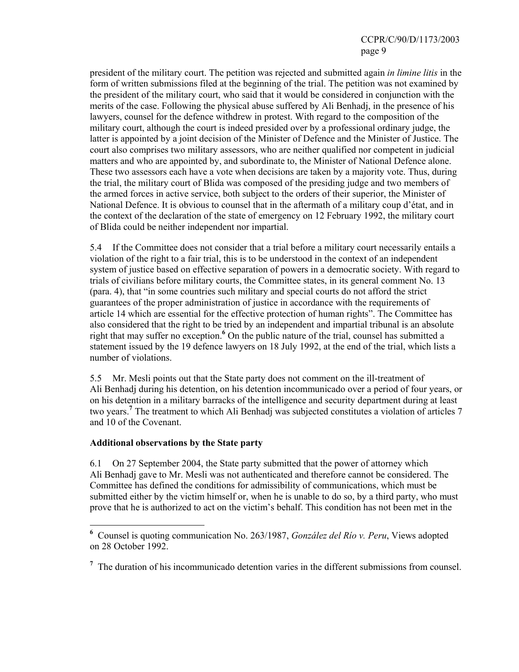president of the military court. The petition was rejected and submitted again *in limine litis* in the form of written submissions filed at the beginning of the trial. The petition was not examined by the president of the military court, who said that it would be considered in conjunction with the merits of the case. Following the physical abuse suffered by Ali Benhadj, in the presence of his lawyers, counsel for the defence withdrew in protest. With regard to the composition of the military court, although the court is indeed presided over by a professional ordinary judge, the latter is appointed by a joint decision of the Minister of Defence and the Minister of Justice. The court also comprises two military assessors, who are neither qualified nor competent in judicial matters and who are appointed by, and subordinate to, the Minister of National Defence alone. These two assessors each have a vote when decisions are taken by a majority vote. Thus, during the trial, the military court of Blida was composed of the presiding judge and two members of the armed forces in active service, both subject to the orders of their superior, the Minister of National Defence. It is obvious to counsel that in the aftermath of a military coup d'état, and in the context of the declaration of the state of emergency on 12 February 1992, the military court of Blida could be neither independent nor impartial.

5.4 If the Committee does not consider that a trial before a military court necessarily entails a violation of the right to a fair trial, this is to be understood in the context of an independent system of justice based on effective separation of powers in a democratic society. With regard to trials of civilians before military courts, the Committee states, in its general comment No. 13 (para. 4), that "in some countries such military and special courts do not afford the strict guarantees of the proper administration of justice in accordance with the requirements of article 14 which are essential for the effective protection of human rights". The Committee has also considered that the right to be tried by an independent and impartial tribunal is an absolute right that may suffer no exception.<sup>6</sup> On the public nature of the trial, counsel has submitted a statement issued by the 19 defence lawyers on 18 July 1992, at the end of the trial, which lists a number of violations.

5.5 Mr. Mesli points out that the State party does not comment on the ill-treatment of Ali Benhadj during his detention, on his detention incommunicado over a period of four years, or on his detention in a military barracks of the intelligence and security department during at least two years.<sup>7</sup> The treatment to which Ali Benhadj was subjected constitutes a violation of articles 7 and 10 of the Covenant.

## **Additional observations by the State party**

 $\overline{a}$ 

6.1 On 27 September 2004, the State party submitted that the power of attorney which Ali Benhadj gave to Mr. Mesli was not authenticated and therefore cannot be considered. The Committee has defined the conditions for admissibility of communications, which must be submitted either by the victim himself or, when he is unable to do so, by a third party, who must prove that he is authorized to act on the victim's behalf. This condition has not been met in the

**<sup>6</sup>** Counsel is quoting communication No. 263/1987, *González del Río v. Peru*, Views adopted on 28 October 1992.

<sup>&</sup>lt;sup>7</sup> The duration of his incommunicado detention varies in the different submissions from counsel.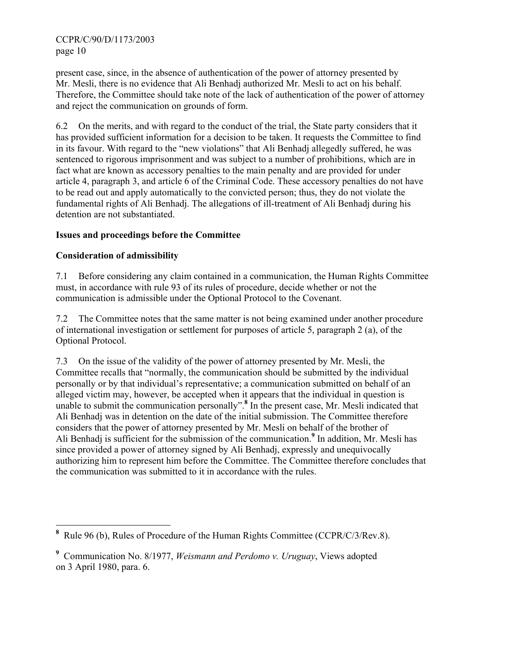present case, since, in the absence of authentication of the power of attorney presented by Mr. Mesli, there is no evidence that Ali Benhadj authorized Mr. Mesli to act on his behalf. Therefore, the Committee should take note of the lack of authentication of the power of attorney and reject the communication on grounds of form.

6.2 On the merits, and with regard to the conduct of the trial, the State party considers that it has provided sufficient information for a decision to be taken. It requests the Committee to find in its favour. With regard to the "new violations" that Ali Benhadj allegedly suffered, he was sentenced to rigorous imprisonment and was subject to a number of prohibitions, which are in fact what are known as accessory penalties to the main penalty and are provided for under article 4, paragraph 3, and article 6 of the Criminal Code. These accessory penalties do not have to be read out and apply automatically to the convicted person; thus, they do not violate the fundamental rights of Ali Benhadj. The allegations of ill-treatment of Ali Benhadj during his detention are not substantiated.

# **Issues and proceedings before the Committee**

# **Consideration of admissibility**

7.1 Before considering any claim contained in a communication, the Human Rights Committee must, in accordance with rule 93 of its rules of procedure, decide whether or not the communication is admissible under the Optional Protocol to the Covenant.

7.2 The Committee notes that the same matter is not being examined under another procedure of international investigation or settlement for purposes of article 5, paragraph 2 (a), of the Optional Protocol.

7.3 On the issue of the validity of the power of attorney presented by Mr. Mesli, the Committee recalls that "normally, the communication should be submitted by the individual personally or by that individual's representative; a communication submitted on behalf of an alleged victim may, however, be accepted when it appears that the individual in question is unable to submit the communication personally".<sup>8</sup> In the present case, Mr. Mesli indicated that Ali Benhadj was in detention on the date of the initial submission. The Committee therefore considers that the power of attorney presented by Mr. Mesli on behalf of the brother of Ali Benhadj is sufficient for the submission of the communication.<sup>9</sup> In addition, Mr. Mesli has since provided a power of attorney signed by Ali Benhadj, expressly and unequivocally authorizing him to represent him before the Committee. The Committee therefore concludes that the communication was submitted to it in accordance with the rules.

 $\overline{a}$ **8** Rule 96 (b), Rules of Procedure of the Human Rights Committee (CCPR/C/3/Rev.8).

**<sup>9</sup>** Communication No. 8/1977, *Weismann and Perdomo v. Uruguay*, Views adopted on 3 April 1980, para. 6.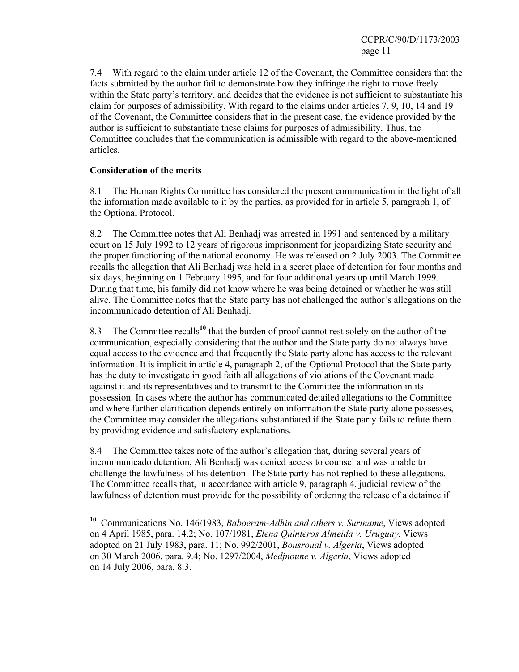7.4 With regard to the claim under article 12 of the Covenant, the Committee considers that the facts submitted by the author fail to demonstrate how they infringe the right to move freely within the State party's territory, and decides that the evidence is not sufficient to substantiate his claim for purposes of admissibility. With regard to the claims under articles 7, 9, 10, 14 and 19 of the Covenant, the Committee considers that in the present case, the evidence provided by the author is sufficient to substantiate these claims for purposes of admissibility. Thus, the Committee concludes that the communication is admissible with regard to the above-mentioned articles.

## **Consideration of the merits**

 $\overline{a}$ 

8.1 The Human Rights Committee has considered the present communication in the light of all the information made available to it by the parties, as provided for in article 5, paragraph 1, of the Optional Protocol.

8.2 The Committee notes that Ali Benhadj was arrested in 1991 and sentenced by a military court on 15 July 1992 to 12 years of rigorous imprisonment for jeopardizing State security and the proper functioning of the national economy. He was released on 2 July 2003. The Committee recalls the allegation that Ali Benhadj was held in a secret place of detention for four months and six days, beginning on 1 February 1995, and for four additional years up until March 1999. During that time, his family did not know where he was being detained or whether he was still alive. The Committee notes that the State party has not challenged the author's allegations on the incommunicado detention of Ali Benhadj.

8.3 The Committee recalls**<sup>10</sup>** that the burden of proof cannot rest solely on the author of the communication, especially considering that the author and the State party do not always have equal access to the evidence and that frequently the State party alone has access to the relevant information. It is implicit in article 4, paragraph 2, of the Optional Protocol that the State party has the duty to investigate in good faith all allegations of violations of the Covenant made against it and its representatives and to transmit to the Committee the information in its possession. In cases where the author has communicated detailed allegations to the Committee and where further clarification depends entirely on information the State party alone possesses, the Committee may consider the allegations substantiated if the State party fails to refute them by providing evidence and satisfactory explanations.

8.4 The Committee takes note of the author's allegation that, during several years of incommunicado detention, Ali Benhadj was denied access to counsel and was unable to challenge the lawfulness of his detention. The State party has not replied to these allegations. The Committee recalls that, in accordance with article 9, paragraph 4, judicial review of the lawfulness of detention must provide for the possibility of ordering the release of a detainee if

**<sup>10</sup>** Communications No. 146/1983, *Baboeram-Adhin and others v. Suriname*, Views adopted on 4 April 1985, para. 14.2; No. 107/1981, *Elena Quinteros Almeida v. Uruguay*, Views adopted on 21 July 1983, para. 11; No. 992/2001, *Bousroual v. Algeria*, Views adopted on 30 March 2006, para. 9.4; No. 1297/2004, *Medjnoune v. Algeria*, Views adopted on 14 July 2006, para. 8.3.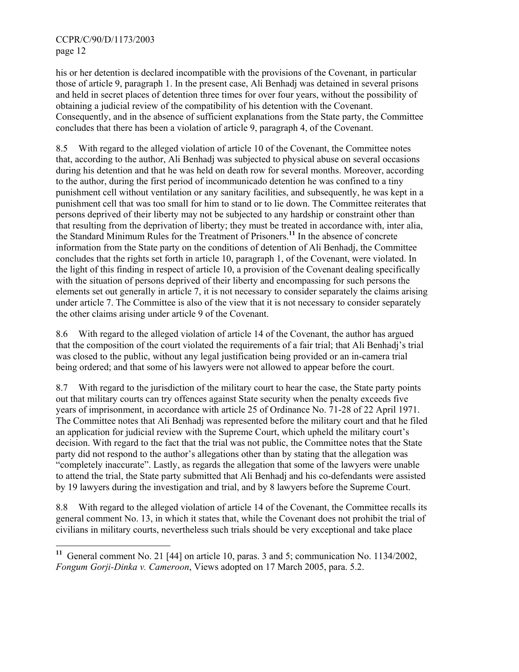$\overline{a}$ 

his or her detention is declared incompatible with the provisions of the Covenant, in particular those of article 9, paragraph 1. In the present case, Ali Benhadj was detained in several prisons and held in secret places of detention three times for over four years, without the possibility of obtaining a judicial review of the compatibility of his detention with the Covenant. Consequently, and in the absence of sufficient explanations from the State party, the Committee concludes that there has been a violation of article 9, paragraph 4, of the Covenant.

8.5 With regard to the alleged violation of article 10 of the Covenant, the Committee notes that, according to the author, Ali Benhadj was subjected to physical abuse on several occasions during his detention and that he was held on death row for several months. Moreover, according to the author, during the first period of incommunicado detention he was confined to a tiny punishment cell without ventilation or any sanitary facilities, and subsequently, he was kept in a punishment cell that was too small for him to stand or to lie down. The Committee reiterates that persons deprived of their liberty may not be subjected to any hardship or constraint other than that resulting from the deprivation of liberty; they must be treated in accordance with, inter alia, the Standard Minimum Rules for the Treatment of Prisoners.**<sup>11</sup>** In the absence of concrete information from the State party on the conditions of detention of Ali Benhadj, the Committee concludes that the rights set forth in article 10, paragraph 1, of the Covenant, were violated. In the light of this finding in respect of article 10, a provision of the Covenant dealing specifically with the situation of persons deprived of their liberty and encompassing for such persons the elements set out generally in article 7, it is not necessary to consider separately the claims arising under article 7. The Committee is also of the view that it is not necessary to consider separately the other claims arising under article 9 of the Covenant.

8.6 With regard to the alleged violation of article 14 of the Covenant, the author has argued that the composition of the court violated the requirements of a fair trial; that Ali Benhadj's trial was closed to the public, without any legal justification being provided or an in-camera trial being ordered; and that some of his lawyers were not allowed to appear before the court.

8.7 With regard to the jurisdiction of the military court to hear the case, the State party points out that military courts can try offences against State security when the penalty exceeds five years of imprisonment, in accordance with article 25 of Ordinance No. 71-28 of 22 April 1971. The Committee notes that Ali Benhadj was represented before the military court and that he filed an application for judicial review with the Supreme Court, which upheld the military court's decision. With regard to the fact that the trial was not public, the Committee notes that the State party did not respond to the author's allegations other than by stating that the allegation was "completely inaccurate". Lastly, as regards the allegation that some of the lawyers were unable to attend the trial, the State party submitted that Ali Benhadj and his co-defendants were assisted by 19 lawyers during the investigation and trial, and by 8 lawyers before the Supreme Court.

8.8 With regard to the alleged violation of article 14 of the Covenant, the Committee recalls its general comment No. 13, in which it states that, while the Covenant does not prohibit the trial of civilians in military courts, nevertheless such trials should be very exceptional and take place

**<sup>11</sup>** General comment No. 21 [44] on article 10, paras. 3 and 5; communication No. 1134/2002, *Fongum Gorji-Dinka v. Cameroon*, Views adopted on 17 March 2005, para. 5.2.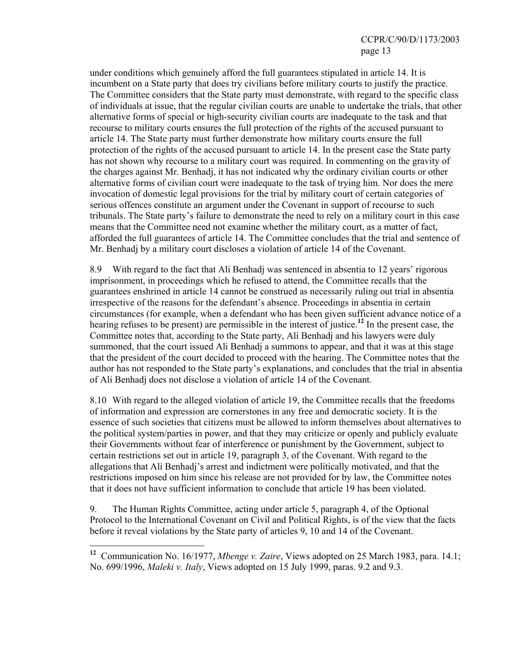under conditions which genuinely afford the full guarantees stipulated in article 14. It is incumbent on a State party that does try civilians before military courts to justify the practice. The Committee considers that the State party must demonstrate, with regard to the specific class of individuals at issue, that the regular civilian courts are unable to undertake the trials, that other alternative forms of special or high-security civilian courts are inadequate to the task and that recourse to military courts ensures the full protection of the rights of the accused pursuant to article 14. The State party must further demonstrate how military courts ensure the full protection of the rights of the accused pursuant to article 14. In the present case the State party has not shown why recourse to a military court was required. In commenting on the gravity of the charges against Mr. Benhadj, it has not indicated why the ordinary civilian courts or other alternative forms of civilian court were inadequate to the task of trying him. Nor does the mere invocation of domestic legal provisions for the trial by military court of certain categories of serious offences constitute an argument under the Covenant in support of recourse to such tribunals. The State party's failure to demonstrate the need to rely on a military court in this case means that the Committee need not examine whether the military court, as a matter of fact, afforded the full guarantees of article 14. The Committee concludes that the trial and sentence of Mr. Benhadj by a military court discloses a violation of article 14 of the Covenant.

8.9 With regard to the fact that Ali Benhadj was sentenced in absentia to 12 years' rigorous imprisonment, in proceedings which he refused to attend, the Committee recalls that the guarantees enshrined in article 14 cannot be construed as necessarily ruling out trial in absentia irrespective of the reasons for the defendant's absence. Proceedings in absentia in certain circumstances (for example, when a defendant who has been given sufficient advance notice of a hearing refuses to be present) are permissible in the interest of justice.**<sup>12</sup>** In the present case, the Committee notes that, according to the State party, Ali Benhadj and his lawyers were duly summoned, that the court issued Ali Benhadj a summons to appear, and that it was at this stage that the president of the court decided to proceed with the hearing. The Committee notes that the author has not responded to the State party's explanations, and concludes that the trial in absentia of Ali Benhadj does not disclose a violation of article 14 of the Covenant.

8.10 With regard to the alleged violation of article 19, the Committee recalls that the freedoms of information and expression are cornerstones in any free and democratic society. It is the essence of such societies that citizens must be allowed to inform themselves about alternatives to the political system/parties in power, and that they may criticize or openly and publicly evaluate their Governments without fear of interference or punishment by the Government, subject to certain restrictions set out in article 19, paragraph 3, of the Covenant. With regard to the allegations that Ali Benhadj's arrest and indictment were politically motivated, and that the restrictions imposed on him since his release are not provided for by law, the Committee notes that it does not have sufficient information to conclude that article 19 has been violated.

9. The Human Rights Committee, acting under article 5, paragraph 4, of the Optional Protocol to the International Covenant on Civil and Political Rights, is of the view that the facts before it reveal violations by the State party of articles 9, 10 and 14 of the Covenant.

 $\overline{a}$ 

**<sup>12</sup>** Communication No. 16/1977, *Mbenge v. Zaire*, Views adopted on 25 March 1983, para. 14.1; No. 699/1996, *Maleki v. Italy*, Views adopted on 15 July 1999, paras. 9.2 and 9.3.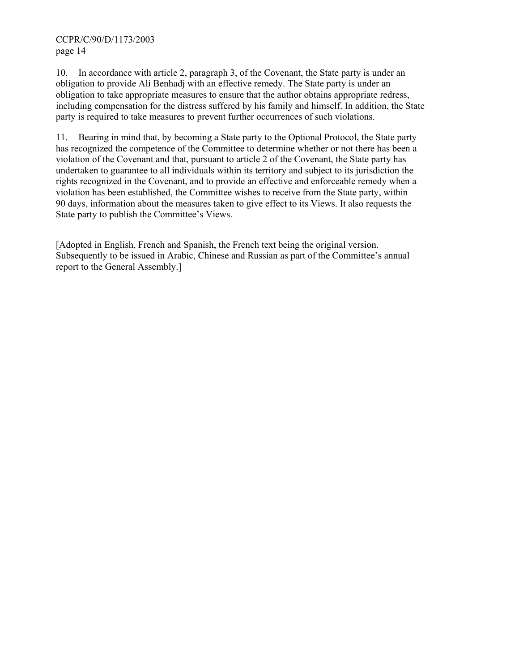10. In accordance with article 2, paragraph 3, of the Covenant, the State party is under an obligation to provide Ali Benhadj with an effective remedy. The State party is under an obligation to take appropriate measures to ensure that the author obtains appropriate redress, including compensation for the distress suffered by his family and himself. In addition, the State party is required to take measures to prevent further occurrences of such violations.

11. Bearing in mind that, by becoming a State party to the Optional Protocol, the State party has recognized the competence of the Committee to determine whether or not there has been a violation of the Covenant and that, pursuant to article 2 of the Covenant, the State party has undertaken to guarantee to all individuals within its territory and subject to its jurisdiction the rights recognized in the Covenant, and to provide an effective and enforceable remedy when a violation has been established, the Committee wishes to receive from the State party, within 90 days, information about the measures taken to give effect to its Views. It also requests the State party to publish the Committee's Views.

[Adopted in English, French and Spanish, the French text being the original version. Subsequently to be issued in Arabic, Chinese and Russian as part of the Committee's annual report to the General Assembly.]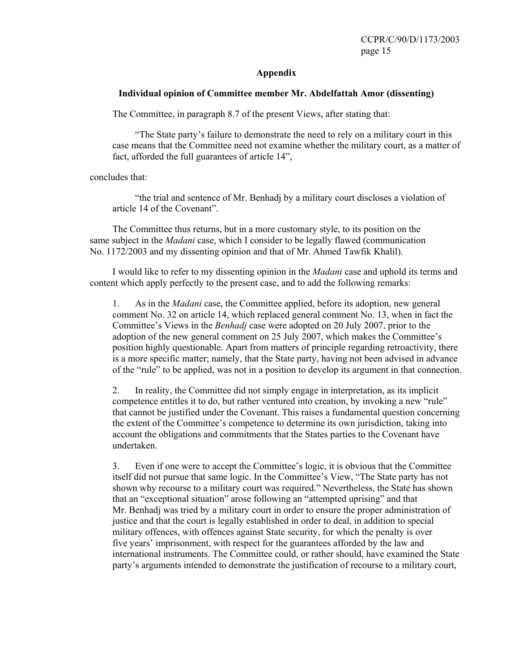#### **Appendix**

#### **Individual opinion of Committee member Mr. Abdelfattah Amor (dissenting)**

The Committee, in paragraph 8.7 of the present Views, after stating that:

 "The State party's failure to demonstrate the need to rely on a military court in this case means that the Committee need not examine whether the military court, as a matter of fact, afforded the full guarantees of article 14",

concludes that:

 "the trial and sentence of Mr. Benhadj by a military court discloses a violation of article 14 of the Covenant".

 The Committee thus returns, but in a more customary style, to its position on the same subject in the *Madani* case, which I consider to be legally flawed (communication No. 1172/2003 and my dissenting opinion and that of Mr. Ahmed Tawfik Khalil).

 I would like to refer to my dissenting opinion in the *Madani* case and uphold its terms and content which apply perfectly to the present case, and to add the following remarks:

1. As in the *Madani* case, the Committee applied, before its adoption, new general comment No. 32 on article 14, which replaced general comment No. 13, when in fact the Committee's Views in the *Benhadj* case were adopted on 20 July 2007, prior to the adoption of the new general comment on 25 July 2007, which makes the Committee's position highly questionable. Apart from matters of principle regarding retroactivity, there is a more specific matter; namely, that the State party, having not been advised in advance of the "rule" to be applied, was not in a position to develop its argument in that connection.

2. In reality, the Committee did not simply engage in interpretation, as its implicit competence entitles it to do, but rather ventured into creation, by invoking a new "rule" that cannot be justified under the Covenant. This raises a fundamental question concerning the extent of the Committee's competence to determine its own jurisdiction, taking into account the obligations and commitments that the States parties to the Covenant have undertaken.

3. Even if one were to accept the Committee's logic, it is obvious that the Committee itself did not pursue that same logic. In the Committee's View, "The State party has not shown why recourse to a military court was required." Nevertheless, the State has shown that an "exceptional situation" arose following an "attempted uprising" and that Mr. Benhadj was tried by a military court in order to ensure the proper administration of justice and that the court is legally established in order to deal, in addition to special military offences, with offences against State security, for which the penalty is over five years' imprisonment, with respect for the guarantees afforded by the law and international instruments. The Committee could, or rather should, have examined the State party's arguments intended to demonstrate the justification of recourse to a military court,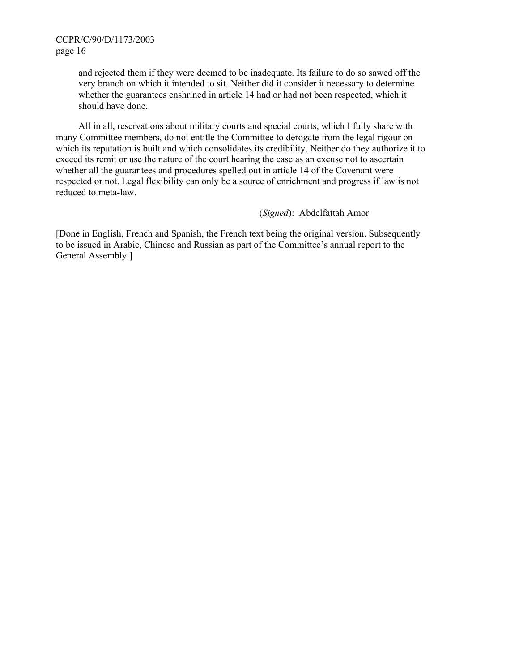and rejected them if they were deemed to be inadequate. Its failure to do so sawed off the very branch on which it intended to sit. Neither did it consider it necessary to determine whether the guarantees enshrined in article 14 had or had not been respected, which it should have done.

 All in all, reservations about military courts and special courts, which I fully share with many Committee members, do not entitle the Committee to derogate from the legal rigour on which its reputation is built and which consolidates its credibility. Neither do they authorize it to exceed its remit or use the nature of the court hearing the case as an excuse not to ascertain whether all the guarantees and procedures spelled out in article 14 of the Covenant were respected or not. Legal flexibility can only be a source of enrichment and progress if law is not reduced to meta-law.

(*Signed*): Abdelfattah Amor

[Done in English, French and Spanish, the French text being the original version. Subsequently to be issued in Arabic, Chinese and Russian as part of the Committee's annual report to the General Assembly.]